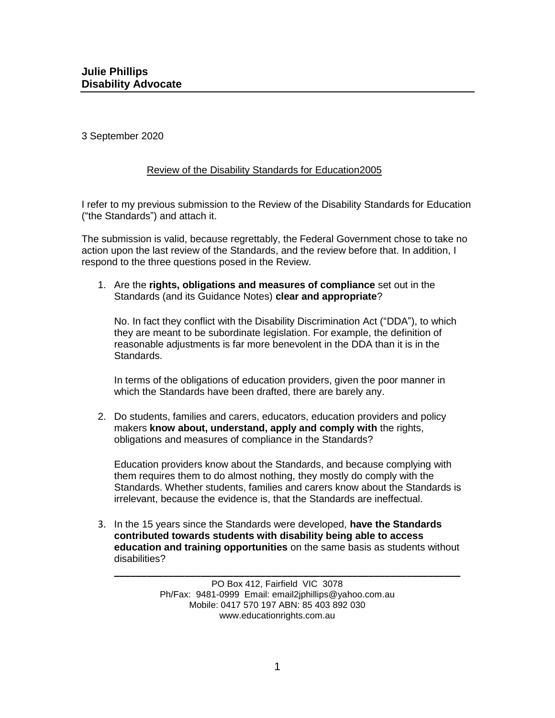3 September 2020

#### Review of the Disability Standards for Education2005

I refer to my previous submission to the Review of the Disability Standards for Education ("the Standards") and attach it.

The submission is valid, because regrettably, the Federal Government chose to take no action upon the last review of the Standards, and the review before that. In addition, I respond to the three questions posed in the Review.

1. Are the **rights, obligations and measures of compliance** set out in the Standards (and its Guidance Notes) **clear and appropriate**?

No. In fact they conflict with the Disability Discrimination Act ("DDA"), to which they are meant to be subordinate legislation. For example, the definition of reasonable adjustments is far more benevolent in the DDA than it is in the Standards.

In terms of the obligations of education providers, given the poor manner in which the Standards have been drafted, there are barely any.

2. Do students, families and carers, educators, education providers and policy makers **know about, understand, apply and comply with** the rights, obligations and measures of compliance in the Standards?

Education providers know about the Standards, and because complying with them requires them to do almost nothing, they mostly do comply with the Standards. Whether students, families and carers know about the Standards is irrelevant, because the evidence is, that the Standards are ineffectual.

3. In the 15 years since the Standards were developed, **have the Standards contributed towards students with disability being able to access education and training opportunities** on the same basis as students without disabilities?

**\_\_\_\_\_\_\_\_\_\_\_\_\_\_\_\_\_\_\_\_\_\_\_\_\_\_\_\_\_\_\_\_\_\_\_\_\_\_\_\_\_\_\_\_\_\_\_\_\_\_\_\_\_\_\_\_\_\_\_\_\_\_\_\_**

PO Box 412, Fairfield VIC 3078 Ph/Fax: 9481-0999 Email: email2jphillips@yahoo.com.au Mobile: 0417 570 197 ABN: 85 403 892 030 www.educationrights.com.au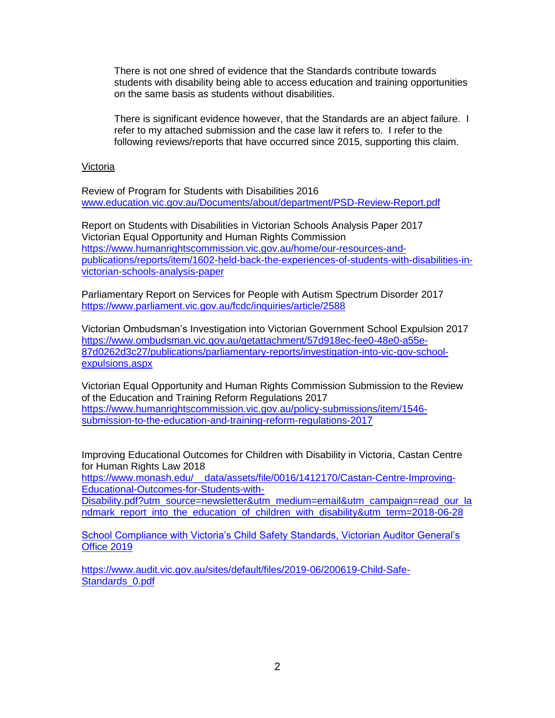There is not one shred of evidence that the Standards contribute towards students with disability being able to access education and training opportunities on the same basis as students without disabilities.

There is significant evidence however, that the Standards are an abject failure. I refer to my attached submission and the case law it refers to. I refer to the following reviews/reports that have occurred since 2015, supporting this claim.

#### Victoria

Review of Program for Students with Disabilities 2016 [www.education.vic.gov.au/Documents/about/department/PSD-Review-Report.pdf](http://www.education.vic.gov.au/Documents/about/department/PSD-Review-Report.pdf)

Report on Students with Disabilities in Victorian Schools Analysis Paper 2017 Victorian Equal Opportunity and Human Rights Commission [https://www.humanrightscommission.vic.gov.au/home/our-resources-and](https://www.humanrightscommission.vic.gov.au/home/our-resources-and-publications/reports/item/1602-held-back-the-experiences-of-students-with-disabilities-in-victorian-schools-analysis-paper)[publications/reports/item/1602-held-back-the-experiences-of-students-with-disabilities-in](https://www.humanrightscommission.vic.gov.au/home/our-resources-and-publications/reports/item/1602-held-back-the-experiences-of-students-with-disabilities-in-victorian-schools-analysis-paper)[victorian-schools-analysis-paper](https://www.humanrightscommission.vic.gov.au/home/our-resources-and-publications/reports/item/1602-held-back-the-experiences-of-students-with-disabilities-in-victorian-schools-analysis-paper)

Parliamentary Report on Services for People with Autism Spectrum Disorder 2017 <https://www.parliament.vic.gov.au/fcdc/inquiries/article/2588>

Victorian Ombudsman's Investigation into Victorian Government School Expulsion 2017 [https://www.ombudsman.vic.gov.au/getattachment/57d918ec-fee0-48e0-a55e-](https://www.ombudsman.vic.gov.au/getattachment/57d918ec-fee0-48e0-a55e-87d0262d3c27/publications/parliamentary-reports/investigation-into-vic-gov-school-expulsions.aspx)[87d0262d3c27/publications/parliamentary-reports/investigation-into-vic-gov-school](https://www.ombudsman.vic.gov.au/getattachment/57d918ec-fee0-48e0-a55e-87d0262d3c27/publications/parliamentary-reports/investigation-into-vic-gov-school-expulsions.aspx)[expulsions.aspx](https://www.ombudsman.vic.gov.au/getattachment/57d918ec-fee0-48e0-a55e-87d0262d3c27/publications/parliamentary-reports/investigation-into-vic-gov-school-expulsions.aspx)

Victorian Equal Opportunity and Human Rights Commission Submission to the Review of the Education and Training Reform Regulations 2017 [https://www.humanrightscommission.vic.gov.au/policy-submissions/item/1546](https://www.humanrightscommission.vic.gov.au/policy-submissions/item/1546-submission-to-the-education-and-training-reform-regulations-2017) [submission-to-the-education-and-training-reform-regulations-2017](https://www.humanrightscommission.vic.gov.au/policy-submissions/item/1546-submission-to-the-education-and-training-reform-regulations-2017)

Improving Educational Outcomes for Children with Disability in Victoria, Castan Centre for Human Rights Law 2018

[https://www.monash.edu/\\_\\_data/assets/file/0016/1412170/Castan-Centre-Improving-](https://www.monash.edu/__data/assets/file/0016/1412170/Castan-Centre-Improving-Educational-Outcomes-for-Students-with-Disability.pdf?utm_source=newsletter&utm_medium=email&utm_campaign=read_our_landmark_report_into_the_education_of_children_with_disability&utm_term=2018-06-28)[Educational-Outcomes-for-Students-with-](https://www.monash.edu/__data/assets/file/0016/1412170/Castan-Centre-Improving-Educational-Outcomes-for-Students-with-Disability.pdf?utm_source=newsletter&utm_medium=email&utm_campaign=read_our_landmark_report_into_the_education_of_children_with_disability&utm_term=2018-06-28)

[Disability.pdf?utm\\_source=newsletter&utm\\_medium=email&utm\\_campaign=read\\_our\\_la](https://www.monash.edu/__data/assets/file/0016/1412170/Castan-Centre-Improving-Educational-Outcomes-for-Students-with-Disability.pdf?utm_source=newsletter&utm_medium=email&utm_campaign=read_our_landmark_report_into_the_education_of_children_with_disability&utm_term=2018-06-28) [ndmark\\_report\\_into\\_the\\_education\\_of\\_children\\_with\\_disability&utm\\_term=2018-06-28](https://www.monash.edu/__data/assets/file/0016/1412170/Castan-Centre-Improving-Educational-Outcomes-for-Students-with-Disability.pdf?utm_source=newsletter&utm_medium=email&utm_campaign=read_our_landmark_report_into_the_education_of_children_with_disability&utm_term=2018-06-28)

School Compliance with Victoria's Child Safety Standards, Victorian Auditor General's Office 2019

[https://www.audit.vic.gov.au/sites/default/files/2019-06/200619-Child-Safe-](https://www.audit.vic.gov.au/sites/default/files/2019-06/200619-Child-Safe-Standards_0.pdf)[Standards\\_0.pdf](https://www.audit.vic.gov.au/sites/default/files/2019-06/200619-Child-Safe-Standards_0.pdf)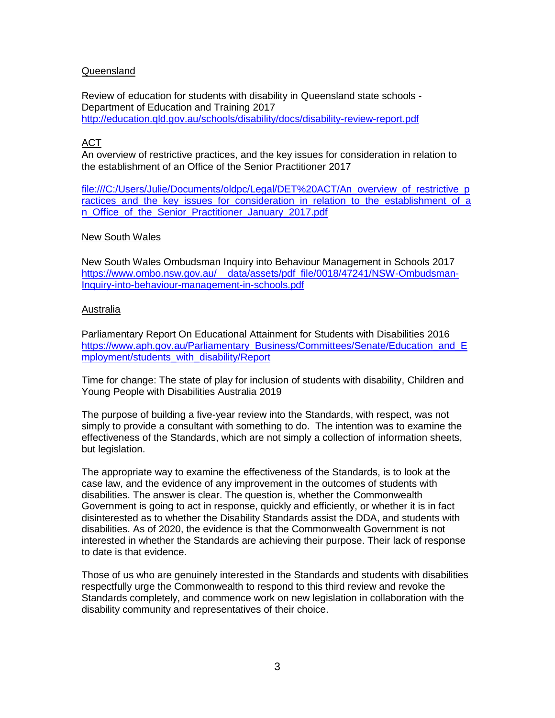#### Queensland

Review of education for students with disability in Queensland state schools - Department of Education and Training 2017 <http://education.qld.gov.au/schools/disability/docs/disability-review-report.pdf>

#### ACT

An overview of restrictive practices, and the key issues for consideration in relation to the establishment of an Office of the Senior Practitioner 2017

[file:///C:/Users/Julie/Documents/oldpc/Legal/DET%20ACT/An\\_overview\\_of\\_restrictive\\_p](file:///C:/Users/Julie/Documents/oldpc/Legal/DET%20ACT/An_overview_of_restrictive_practices_and_the_key_issues_for_consideration_in_relation_to_the_establishment_of_an_Office_of_the_Senior_Practitioner_January_2017.pdf) ractices and the key issues for consideration in relation to the establishment of a n Office of the Senior Practitioner January 2017.pdf

#### New South Wales

New South Wales Ombudsman Inquiry into Behaviour Management in Schools 2017 https://www.ombo.nsw.gov.au/\_data/assets/pdf\_file/0018/47241/NSW-Ombudsman-[Inquiry-into-behaviour-management-in-schools.pdf](https://www.ombo.nsw.gov.au/__data/assets/pdf_file/0018/47241/NSW-Ombudsman-Inquiry-into-behaviour-management-in-schools.pdf)

#### Australia

Parliamentary Report On Educational Attainment for Students with Disabilities 2016 [https://www.aph.gov.au/Parliamentary\\_Business/Committees/Senate/Education\\_and\\_E](https://www.aph.gov.au/Parliamentary_Business/Committees/Senate/Education_and_Employment/students_with_disability/Report) [mployment/students\\_with\\_disability/Report](https://www.aph.gov.au/Parliamentary_Business/Committees/Senate/Education_and_Employment/students_with_disability/Report)

Time for change: The state of play for inclusion of students with disability, Children and Young People with Disabilities Australia 2019

The purpose of building a five-year review into the Standards, with respect, was not simply to provide a consultant with something to do. The intention was to examine the effectiveness of the Standards, which are not simply a collection of information sheets, but legislation.

The appropriate way to examine the effectiveness of the Standards, is to look at the case law, and the evidence of any improvement in the outcomes of students with disabilities. The answer is clear. The question is, whether the Commonwealth Government is going to act in response, quickly and efficiently, or whether it is in fact disinterested as to whether the Disability Standards assist the DDA, and students with disabilities. As of 2020, the evidence is that the Commonwealth Government is not interested in whether the Standards are achieving their purpose. Their lack of response to date is that evidence.

Those of us who are genuinely interested in the Standards and students with disabilities respectfully urge the Commonwealth to respond to this third review and revoke the Standards completely, and commence work on new legislation in collaboration with the disability community and representatives of their choice.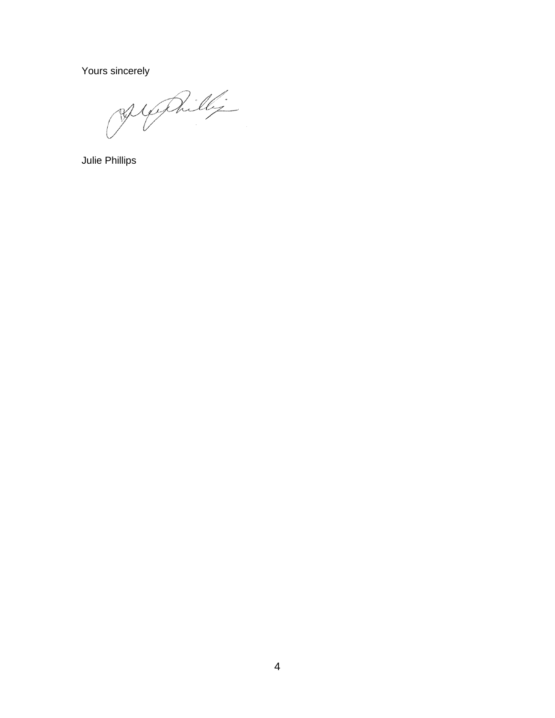Yours sincerely

Jephilli

Julie Phillips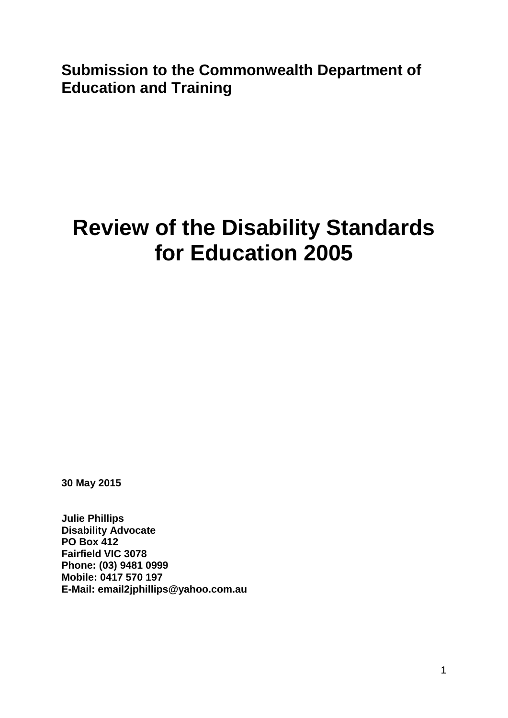**Submission to the Commonwealth Department of Education and Training**

# **Review of the Disability Standards for Education 2005**

**30 May 2015**

**Julie Phillips Disability Advocate PO Box 412 Fairfield VIC 3078 Phone: (03) 9481 0999 Mobile: 0417 570 197 E-Mail: email2jphillips@yahoo.com.au**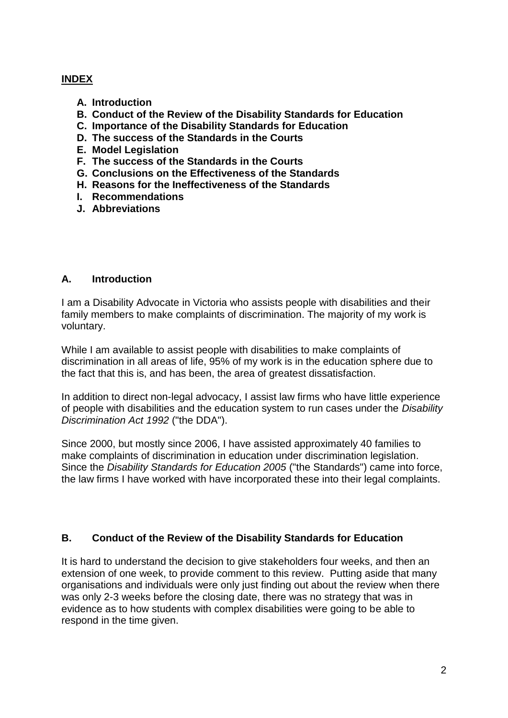## **INDEX**

- **A. Introduction**
- **B. Conduct of the Review of the Disability Standards for Education**
- **C. Importance of the Disability Standards for Education**
- **D. The success of the Standards in the Courts**
- **E. Model Legislation**
- **F. The success of the Standards in the Courts**
- **G. Conclusions on the Effectiveness of the Standards**
- **H. Reasons for the Ineffectiveness of the Standards**
- **I. Recommendations**
- **J. Abbreviations**

### **A. Introduction**

I am a Disability Advocate in Victoria who assists people with disabilities and their family members to make complaints of discrimination. The majority of my work is voluntary.

While I am available to assist people with disabilities to make complaints of discrimination in all areas of life, 95% of my work is in the education sphere due to the fact that this is, and has been, the area of greatest dissatisfaction.

In addition to direct non-legal advocacy, I assist law firms who have little experience of people with disabilities and the education system to run cases under the *Disability Discrimination Act 1992* ("the DDA").

Since 2000, but mostly since 2006, I have assisted approximately 40 families to make complaints of discrimination in education under discrimination legislation. Since the *Disability Standards for Education 2005* ("the Standards") came into force, the law firms I have worked with have incorporated these into their legal complaints.

## **B. Conduct of the Review of the Disability Standards for Education**

It is hard to understand the decision to give stakeholders four weeks, and then an extension of one week, to provide comment to this review. Putting aside that many organisations and individuals were only just finding out about the review when there was only 2-3 weeks before the closing date, there was no strategy that was in evidence as to how students with complex disabilities were going to be able to respond in the time given.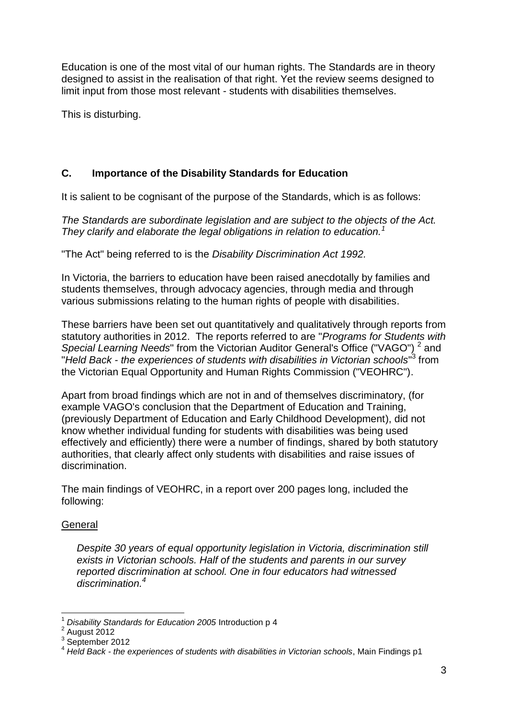Education is one of the most vital of our human rights. The Standards are in theory designed to assist in the realisation of that right. Yet the review seems designed to limit input from those most relevant - students with disabilities themselves.

This is disturbing.

# **C. Importance of the Disability Standards for Education**

It is salient to be cognisant of the purpose of the Standards, which is as follows:

*The Standards are subordinate legislation and are subject to the objects of the Act. They clarify and elaborate the legal obligations in relation to education.<sup>1</sup>*

"The Act" being referred to is the *Disability Discrimination Act 1992.*

In Victoria, the barriers to education have been raised anecdotally by families and students themselves, through advocacy agencies, through media and through various submissions relating to the human rights of people with disabilities.

These barriers have been set out quantitatively and qualitatively through reports from statutory authorities in 2012. The reports referred to are "*Programs for Students with*  Special Learning Needs" from the Victorian Auditor General's Office ("VAGO")<sup>2</sup> and "*Held Back - the experiences of students with disabilities in Victorian schools*" 3 from the Victorian Equal Opportunity and Human Rights Commission ("VEOHRC").

Apart from broad findings which are not in and of themselves discriminatory, (for example VAGO's conclusion that the Department of Education and Training, (previously Department of Education and Early Childhood Development), did not know whether individual funding for students with disabilities was being used effectively and efficiently) there were a number of findings, shared by both statutory authorities, that clearly affect only students with disabilities and raise issues of discrimination.

The main findings of VEOHRC, in a report over 200 pages long, included the following:

# **General**

*Despite 30 years of equal opportunity legislation in Victoria, discrimination still exists in Victorian schools. Half of the students and parents in our survey reported discrimination at school. One in four educators had witnessed discrimination.<sup>4</sup>*

 $\overline{1}$ <sup>1</sup> *Disability Standards for Education 2005* Introduction p 4

 $2$  August 2012

<sup>3</sup> September 2012

<sup>4</sup> *Held Back - the experiences of students with disabilities in Victorian schools*, Main Findings p1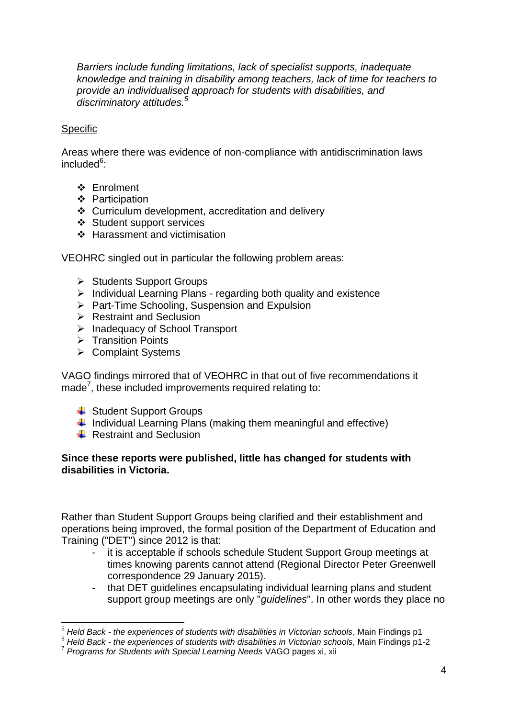*Barriers include funding limitations, lack of specialist supports, inadequate knowledge and training in disability among teachers, lack of time for teachers to provide an individualised approach for students with disabilities, and discriminatory attitudes.<sup>5</sup>*

#### **Specific**

Areas where there was evidence of non-compliance with antidiscrimination laws included<sup>6</sup>:

- Enrolment
- ❖ Participation
- Curriculum development, accreditation and delivery
- Student support services
- ❖ Harassment and victimisation

VEOHRC singled out in particular the following problem areas:

- $\triangleright$  Students Support Groups
- $\triangleright$  Individual Learning Plans regarding both quality and existence
- $\triangleright$  Part-Time Schooling, Suspension and Expulsion
- $\triangleright$  Restraint and Seclusion
- > Inadequacy of School Transport
- $\triangleright$  Transition Points
- $\triangleright$  Complaint Systems

VAGO findings mirrored that of VEOHRC in that out of five recommendations it made<sup>7</sup>, these included improvements required relating to:

- $\overline{\phantom{a}}$  Student Support Groups
- $\ddag$  Individual Learning Plans (making them meaningful and effective)
- $\overline{\phantom{a}}$  Restraint and Seclusion

### **Since these reports were published, little has changed for students with disabilities in Victoria.**

Rather than Student Support Groups being clarified and their establishment and operations being improved, the formal position of the Department of Education and Training ("DET") since 2012 is that:

- it is acceptable if schools schedule Student Support Group meetings at times knowing parents cannot attend (Regional Director Peter Greenwell correspondence 29 January 2015).
- that DET guidelines encapsulating individual learning plans and student support group meetings are only "*guidelines*". In other words they place no

<sup>1</sup> <sup>5</sup> *Held Back - the experiences of students with disabilities in Victorian schools*, Main Findings p1

<sup>6</sup> *Held Back - the experiences of students with disabilities in Victorian schools*, Main Findings p1-2

<sup>7</sup> *Programs for Students with Special Learning Needs* VAGO pages xi, xii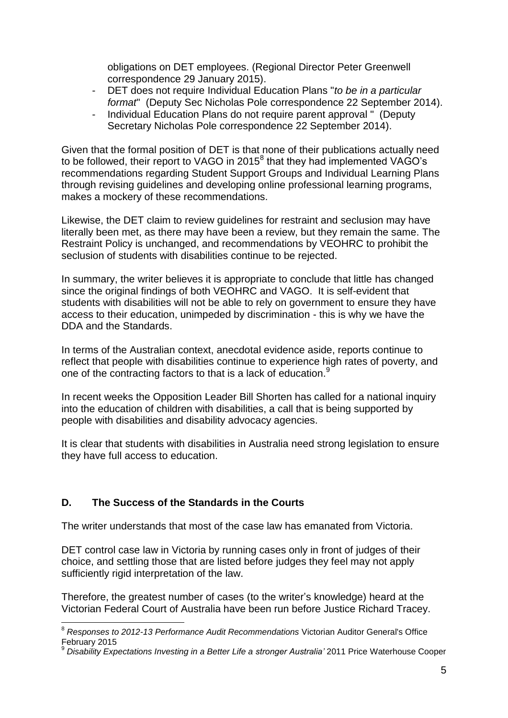obligations on DET employees. (Regional Director Peter Greenwell correspondence 29 January 2015).

- DET does not require Individual Education Plans "*to be in a particular format*" (Deputy Sec Nicholas Pole correspondence 22 September 2014).
- Individual Education Plans do not require parent approval " (Deputy Secretary Nicholas Pole correspondence 22 September 2014).

Given that the formal position of DET is that none of their publications actually need to be followed, their report to VAGO in 2015 $^8$  that they had implemented VAGO's recommendations regarding Student Support Groups and Individual Learning Plans through revising guidelines and developing online professional learning programs, makes a mockery of these recommendations.

Likewise, the DET claim to review guidelines for restraint and seclusion may have literally been met, as there may have been a review, but they remain the same. The Restraint Policy is unchanged, and recommendations by VEOHRC to prohibit the seclusion of students with disabilities continue to be rejected.

In summary, the writer believes it is appropriate to conclude that little has changed since the original findings of both VEOHRC and VAGO. It is self-evident that students with disabilities will not be able to rely on government to ensure they have access to their education, unimpeded by discrimination - this is why we have the DDA and the Standards.

In terms of the Australian context, anecdotal evidence aside, reports continue to reflect that people with disabilities continue to experience high rates of poverty, and one of the contracting factors to that is a lack of education.<sup>9</sup>

In recent weeks the Opposition Leader Bill Shorten has called for a national inquiry into the education of children with disabilities, a call that is being supported by people with disabilities and disability advocacy agencies.

It is clear that students with disabilities in Australia need strong legislation to ensure they have full access to education.

## **D. The Success of the Standards in the Courts**

The writer understands that most of the case law has emanated from Victoria.

DET control case law in Victoria by running cases only in front of judges of their choice, and settling those that are listed before judges they feel may not apply sufficiently rigid interpretation of the law.

Therefore, the greatest number of cases (to the writer's knowledge) heard at the Victorian Federal Court of Australia have been run before Justice Richard Tracey.

<sup>1</sup> <sup>8</sup> *Responses to 2012-13 Performance Audit Recommendations* Victorian Auditor General's Office **February 2015** 

<sup>9</sup> *Disability Expectations Investing in a Better Life a stronger Australia'* 2011 Price Waterhouse Cooper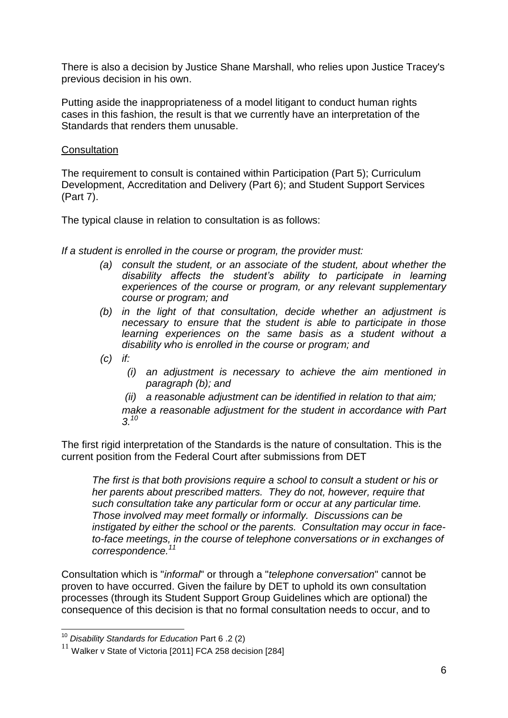There is also a decision by Justice Shane Marshall, who relies upon Justice Tracey's previous decision in his own.

Putting aside the inappropriateness of a model litigant to conduct human rights cases in this fashion, the result is that we currently have an interpretation of the Standards that renders them unusable.

#### **Consultation**

The requirement to consult is contained within Participation (Part 5); Curriculum Development, Accreditation and Delivery (Part 6); and Student Support Services (Part 7).

The typical clause in relation to consultation is as follows:

*If a student is enrolled in the course or program, the provider must:*

- *(a) consult the student, or an associate of the student, about whether the disability affects the student's ability to participate in learning experiences of the course or program, or any relevant supplementary course or program; and*
- *(b) in the light of that consultation, decide whether an adjustment is necessary to ensure that the student is able to participate in those learning experiences on the same basis as a student without a disability who is enrolled in the course or program; and*
- *(c) if:*
	- *(i) an adjustment is necessary to achieve the aim mentioned in paragraph (b); and*
	- *(ii) a reasonable adjustment can be identified in relation to that aim;*

*make a reasonable adjustment for the student in accordance with Part 3.<sup>10</sup>*

The first rigid interpretation of the Standards is the nature of consultation. This is the current position from the Federal Court after submissions from DET

*The first is that both provisions require a school to consult a student or his or her parents about prescribed matters. They do not, however, require that such consultation take any particular form or occur at any particular time. Those involved may meet formally or informally. Discussions can be instigated by either the school or the parents. Consultation may occur in faceto-face meetings, in the course of telephone conversations or in exchanges of correspondence.<sup>11</sup>*

Consultation which is "*informal*" or through a "*telephone conversation*" cannot be proven to have occurred. Given the failure by DET to uphold its own consultation processes (through its Student Support Group Guidelines which are optional) the consequence of this decision is that no formal consultation needs to occur, and to

 $\overline{1}$ 

<sup>10</sup> *Disability Standards for Education* Part 6 .2 (2)

 $11$  Walker v State of Victoria [2011] FCA 258 decision [284]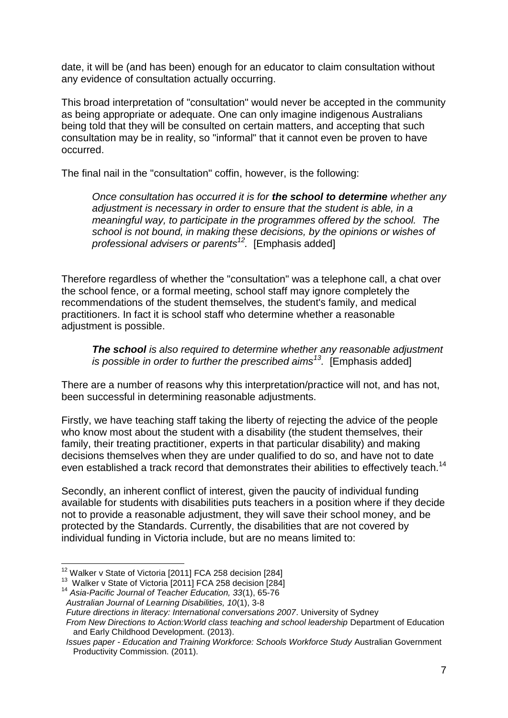date, it will be (and has been) enough for an educator to claim consultation without any evidence of consultation actually occurring.

This broad interpretation of "consultation" would never be accepted in the community as being appropriate or adequate. One can only imagine indigenous Australians being told that they will be consulted on certain matters, and accepting that such consultation may be in reality, so "informal" that it cannot even be proven to have occurred.

The final nail in the "consultation" coffin, however, is the following:

*Once consultation has occurred it is for the school to determine whether any adjustment is necessary in order to ensure that the student is able, in a meaningful way, to participate in the programmes offered by the school. The school is not bound, in making these decisions, by the opinions or wishes of professional advisers or parents 12 .* [Emphasis added]

Therefore regardless of whether the "consultation" was a telephone call, a chat over the school fence, or a formal meeting, school staff may ignore completely the recommendations of the student themselves, the student's family, and medical practitioners. In fact it is school staff who determine whether a reasonable adjustment is possible.

*The school is also required to determine whether any reasonable adjustment is possible in order to further the prescribed aims<sup>13</sup> .* [Emphasis added]

There are a number of reasons why this interpretation/practice will not, and has not, been successful in determining reasonable adjustments.

Firstly, we have teaching staff taking the liberty of rejecting the advice of the people who know most about the student with a disability (the student themselves, their family, their treating practitioner, experts in that particular disability) and making decisions themselves when they are under qualified to do so, and have not to date even established a track record that demonstrates their abilities to effectively teach.<sup>14</sup>

Secondly, an inherent conflict of interest, given the paucity of individual funding available for students with disabilities puts teachers in a position where if they decide not to provide a reasonable adjustment, they will save their school money, and be protected by the Standards. Currently, the disabilities that are not covered by individual funding in Victoria include, but are no means limited to:

*Future directions in literacy: International conversations 2007*. University of Sydney

<sup>1</sup>  $12$  Walker v State of Victoria [2011] FCA 258 decision [284]

<sup>&</sup>lt;sup>13</sup> Walker v State of Victoria [2011] FCA 258 decision [284]

<sup>14</sup> *Asia-Pacific Journal of Teacher Education, 33*(1), 65-76  *Australian Journal of Learning Disabilities, 10*(1), 3-8

*From New Directions to Action: World class teaching and school leadership* Department of Education and Early Childhood Development. (2013).

*Issues paper - Education and Training Workforce: Schools Workforce Study* Australian Government Productivity Commission. (2011).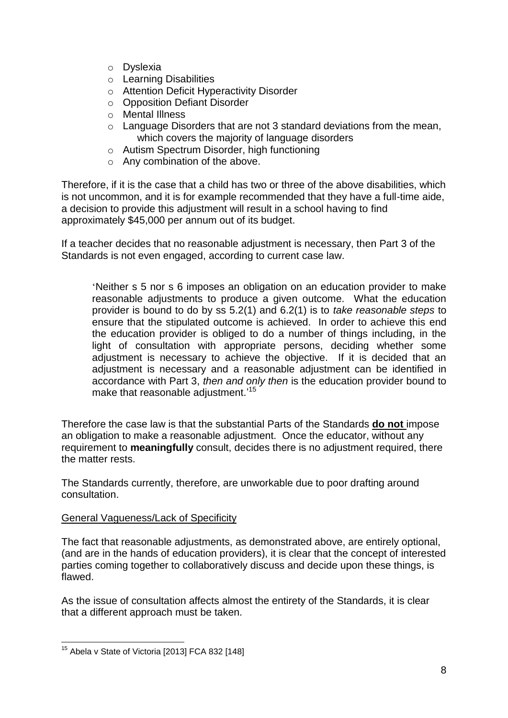- o Dyslexia
- o Learning Disabilities
- o Attention Deficit Hyperactivity Disorder
- o Opposition Defiant Disorder
- o Mental Illness
- $\circ$  Language Disorders that are not 3 standard deviations from the mean, which covers the majority of language disorders
- o Autism Spectrum Disorder, high functioning
- o Any combination of the above.

Therefore, if it is the case that a child has two or three of the above disabilities, which is not uncommon, and it is for example recommended that they have a full-time aide, a decision to provide this adjustment will result in a school having to find approximately \$45,000 per annum out of its budget.

If a teacher decides that no reasonable adjustment is necessary, then Part 3 of the Standards is not even engaged, according to current case law.

'Neither s 5 nor s 6 imposes an obligation on an education provider to make reasonable adjustments to produce a given outcome. What the education provider is bound to do by ss 5.2(1) and 6.2(1) is to *take reasonable steps* to ensure that the stipulated outcome is achieved. In order to achieve this end the education provider is obliged to do a number of things including, in the light of consultation with appropriate persons, deciding whether some adjustment is necessary to achieve the objective. If it is decided that an adjustment is necessary and a reasonable adjustment can be identified in accordance with Part 3, *then and only then* is the education provider bound to make that reasonable adjustment.'<sup>15</sup>

Therefore the case law is that the substantial Parts of the Standards **do not** impose an obligation to make a reasonable adjustment. Once the educator, without any requirement to **meaningfully** consult, decides there is no adjustment required, there the matter rests.

The Standards currently, therefore, are unworkable due to poor drafting around consultation.

#### General Vagueness/Lack of Specificity

The fact that reasonable adjustments, as demonstrated above, are entirely optional, (and are in the hands of education providers), it is clear that the concept of interested parties coming together to collaboratively discuss and decide upon these things, is flawed.

As the issue of consultation affects almost the entirety of the Standards, it is clear that a different approach must be taken.

<sup>1</sup>  $15$  Abela v State of Victoria [2013] FCA 832 [148]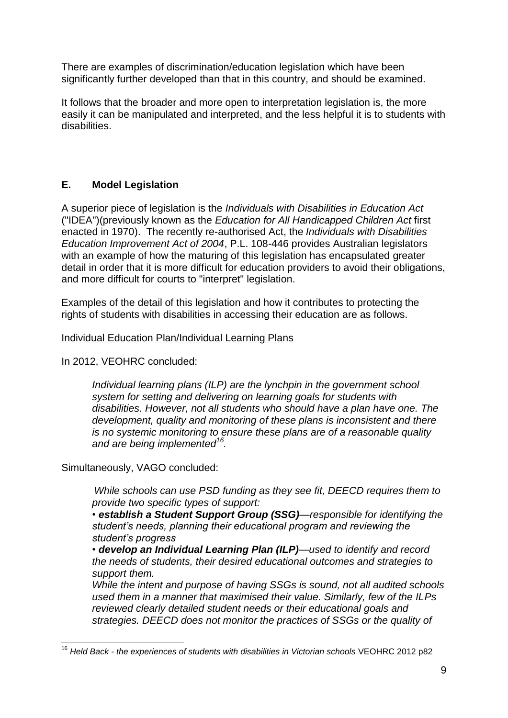There are examples of discrimination/education legislation which have been significantly further developed than that in this country, and should be examined.

It follows that the broader and more open to interpretation legislation is, the more easily it can be manipulated and interpreted, and the less helpful it is to students with disabilities.

# **E. Model Legislation**

A superior piece of legislation is the *Individuals with Disabilities in Education Act*  ("IDEA")(previously known as the *Education for All Handicapped Children Act* first enacted in 1970). The recently re-authorised Act, the *Individuals with Disabilities Education Improvement Act of 2004*, P.L. 108-446 provides Australian legislators with an example of how the maturing of this legislation has encapsulated greater detail in order that it is more difficult for education providers to avoid their obligations, and more difficult for courts to "interpret" legislation.

Examples of the detail of this legislation and how it contributes to protecting the rights of students with disabilities in accessing their education are as follows.

### Individual Education Plan/Individual Learning Plans

In 2012, VEOHRC concluded:

*Individual learning plans (ILP) are the lynchpin in the government school system for setting and delivering on learning goals for students with disabilities. However, not all students who should have a plan have one. The development, quality and monitoring of these plans is inconsistent and there is no systemic monitoring to ensure these plans are of a reasonable quality and are being implemented<sup>16</sup> .*

Simultaneously, VAGO concluded:

*While schools can use PSD funding as they see fit, DEECD requires them to provide two specific types of support:*

*• establish a Student Support Group (SSG)—responsible for identifying the student's needs, planning their educational program and reviewing the student's progress*

*• develop an Individual Learning Plan (ILP)—used to identify and record the needs of students, their desired educational outcomes and strategies to support them.*

*While the intent and purpose of having SSGs is sound, not all audited schools used them in a manner that maximised their value. Similarly, few of the ILPs reviewed clearly detailed student needs or their educational goals and strategies. DEECD does not monitor the practices of SSGs or the quality of* 

 $\overline{1}$ <sup>16</sup> *Held Back - the experiences of students with disabilities in Victorian schools* VEOHRC 2012 p82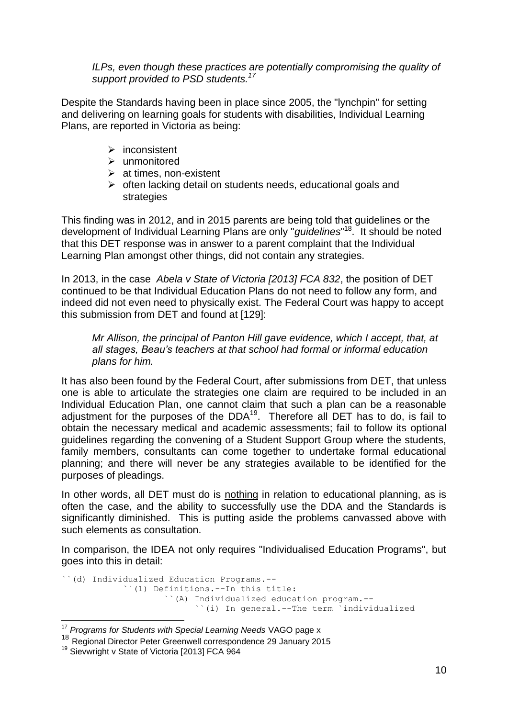*ILPs, even though these practices are potentially compromising the quality of support provided to PSD students.<sup>17</sup>*

Despite the Standards having been in place since 2005, the "lynchpin" for setting and delivering on learning goals for students with disabilities, Individual Learning Plans, are reported in Victoria as being:

- $\triangleright$  inconsistent
- > unmonitored
- $\triangleright$  at times, non-existent
- $\triangleright$  often lacking detail on students needs, educational goals and strategies

This finding was in 2012, and in 2015 parents are being told that guidelines or the development of Individual Learning Plans are only "*guidelines*" 18 . It should be noted that this DET response was in answer to a parent complaint that the Individual Learning Plan amongst other things, did not contain any strategies.

In 2013, in the case *Abela v State of Victoria [2013] FCA 832*, the position of DET continued to be that Individual Education Plans do not need to follow any form, and indeed did not even need to physically exist. The Federal Court was happy to accept this submission from DET and found at [129]:

*Mr Allison, the principal of Panton Hill gave evidence, which I accept, that, at all stages, Beau's teachers at that school had formal or informal education plans for him.* 

 It has also been found by the Federal Court, after submissions from DET, that unless one is able to articulate the strategies one claim are required to be included in an Individual Education Plan, one cannot claim that such a plan can be a reasonable adjustment for the purposes of the  $DDA<sup>19</sup>$ . Therefore all DET has to do, is fail to obtain the necessary medical and academic assessments; fail to follow its optional guidelines regarding the convening of a Student Support Group where the students, family members, consultants can come together to undertake formal educational planning; and there will never be any strategies available to be identified for the purposes of pleadings.

In other words, all DET must do is nothing in relation to educational planning, as is often the case, and the ability to successfully use the DDA and the Standards is significantly diminished. This is putting aside the problems canvassed above with such elements as consultation.

In comparison, the IDEA not only requires "Individualised Education Programs", but goes into this in detail:

```
``(d) Individualized Education Programs.--
 ``(1) Definitions.--In this title:
          ``(A) Individualized education program.--
                ``(i) In general.--The term `individualized
```
<sup>1</sup> <sup>17</sup> *Programs for Students with Special Learning Needs* VAGO page x

<sup>18</sup> Regional Director Peter Greenwell correspondence 29 January 2015

<sup>&</sup>lt;sup>19</sup> Sievwright v State of Victoria [2013] FCA 964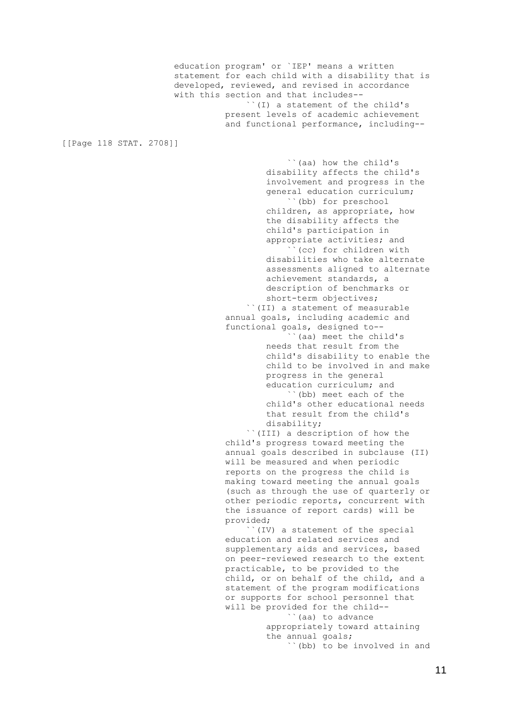education program' or `IEP' means a written statement for each child with a disability that is developed, reviewed, and revised in accordance with this section and that includes-- ``(I) a statement of the child's present levels of academic achievement and functional performance, including--

[[Page 118 STAT. 2708]]

 ``(aa) how the child's disability affects the child's involvement and progress in the general education curriculum; ``(bb) for preschool children, as appropriate, how the disability affects the child's participation in appropriate activities; and ``(cc) for children with disabilities who take alternate assessments aligned to alternate achievement standards, a description of benchmarks or short-term objectives; ``(II) a statement of measurable annual goals, including academic and functional goals, designed to-- ``(aa) meet the child's needs that result from the child's disability to enable the child to be involved in and make progress in the general education curriculum; and ``(bb) meet each of the child's other educational needs that result from the child's disability; ``(III) a description of how the child's progress toward meeting the annual goals described in subclause (II) will be measured and when periodic reports on the progress the child is making toward meeting the annual goals (such as through the use of quarterly or other periodic reports, concurrent with the issuance of report cards) will be provided; ``(IV) a statement of the special education and related services and supplementary aids and services, based on peer-reviewed research to the extent practicable, to be provided to the child, or on behalf of the child, and a statement of the program modifications or supports for school personnel that will be provided for the child-- ``(aa) to advance appropriately toward attaining the annual goals; ``(bb) to be involved in and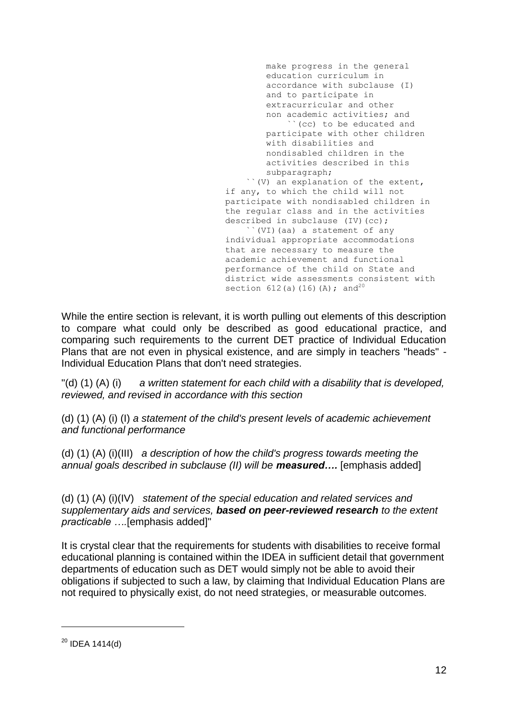make progress in the general education curriculum in accordance with subclause (I) and to participate in extracurricular and other non academic activities; and ``(cc) to be educated and participate with other children with disabilities and nondisabled children in the activities described in this subparagraph; ``(V) an explanation of the extent, if any, to which the child will not participate with nondisabled children in the regular class and in the activities described in subclause (IV)(cc); ``(VI)(aa) a statement of any individual appropriate accommodations that are necessary to measure the academic achievement and functional performance of the child on State and district wide assessments consistent with section 612(a)(16)(A); and<sup>20</sup>

While the entire section is relevant, it is worth pulling out elements of this description to compare what could only be described as good educational practice, and comparing such requirements to the current DET practice of Individual Education Plans that are not even in physical existence, and are simply in teachers "heads" - Individual Education Plans that don't need strategies.

"(d) (1) (A) (i) *a written statement for each child with a disability that is developed, reviewed, and revised in accordance with this section*

(d) (1) (A) (i) (I) *a statement of the child's present levels of academic achievement and functional performance*

(d) (1) (A) (i)(III) *a description of how the child's progress towards meeting the annual goals described in subclause (II) will be measured….* [emphasis added]

(d) (1) (A) (i)(IV) *statement of the special education and related services and supplementary aids and services, based on peer-reviewed research to the extent practicable ….*[emphasis added]"

It is crystal clear that the requirements for students with disabilities to receive formal educational planning is contained within the IDEA in sufficient detail that government departments of education such as DET would simply not be able to avoid their obligations if subjected to such a law, by claiming that Individual Education Plans are not required to physically exist, do not need strategies, or measurable outcomes.

1

 $20$  IDEA 1414(d)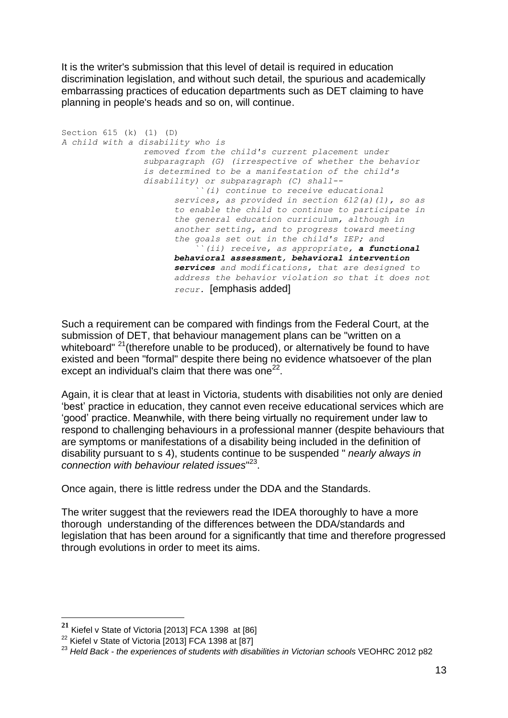It is the writer's submission that this level of detail is required in education discrimination legislation, and without such detail, the spurious and academically embarrassing practices of education departments such as DET claiming to have planning in people's heads and so on, will continue.

Section 615 (k) (1) (D) *A child with a disability who is removed from the child's current placement under subparagraph (G) (irrespective of whether the behavior is determined to be a manifestation of the child's disability) or subparagraph (C) shall-- ``(i) continue to receive educational services, as provided in section 612(a)(1), so as to enable the child to continue to participate in the general education curriculum, although in another setting, and to progress toward meeting the goals set out in the child's IEP; and ``(ii) receive, as appropriate, a functional behavioral assessment, behavioral intervention services and modifications, that are designed to address the behavior violation so that it does not recur.* [emphasis added]

Such a requirement can be compared with findings from the Federal Court, at the submission of DET, that behaviour management plans can be "written on a whiteboard"  $21$ (therefore unable to be produced), or alternatively be found to have existed and been "formal" despite there being no evidence whatsoever of the plan except an individual's claim that there was one $^{22}$ .

Again, it is clear that at least in Victoria, students with disabilities not only are denied 'best' practice in education, they cannot even receive educational services which are 'good' practice. Meanwhile, with there being virtually no requirement under law to respond to challenging behaviours in a professional manner (despite behaviours that are symptoms or manifestations of a disability being included in the definition of disability pursuant to s 4), students continue to be suspended " *nearly always in connection with behaviour related issues*" 23 .

Once again, there is little redress under the DDA and the Standards.

The writer suggest that the reviewers read the IDEA thoroughly to have a more thorough understanding of the differences between the DDA/standards and legislation that has been around for a significantly that time and therefore progressed through evolutions in order to meet its aims.

1

**<sup>21</sup>** Kiefel v State of Victoria [2013] FCA 1398 at [86]

<sup>&</sup>lt;sup>22</sup> Kiefel v State of Victoria [2013] FCA 1398 at [87]

<sup>23</sup> *Held Back - the experiences of students with disabilities in Victorian schools* VEOHRC 2012 p82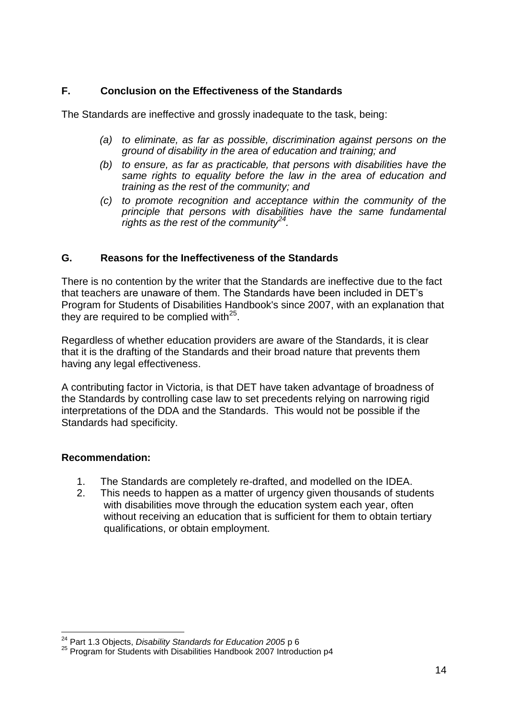## **F. Conclusion on the Effectiveness of the Standards**

The Standards are ineffective and grossly inadequate to the task, being:

- *(a) to eliminate, as far as possible, discrimination against persons on the ground of disability in the area of education and training; and*
- *(b) to ensure, as far as practicable, that persons with disabilities have the same rights to equality before the law in the area of education and training as the rest of the community; and*
- *(c) to promote recognition and acceptance within the community of the principle that persons with disabilities have the same fundamental rights as the rest of the community<sup>24</sup> .*

### **G. Reasons for the Ineffectiveness of the Standards**

There is no contention by the writer that the Standards are ineffective due to the fact that teachers are unaware of them. The Standards have been included in DET's Program for Students of Disabilities Handbook's since 2007, with an explanation that they are required to be complied with $^{25}$ .

Regardless of whether education providers are aware of the Standards, it is clear that it is the drafting of the Standards and their broad nature that prevents them having any legal effectiveness.

A contributing factor in Victoria, is that DET have taken advantage of broadness of the Standards by controlling case law to set precedents relying on narrowing rigid interpretations of the DDA and the Standards. This would not be possible if the Standards had specificity.

#### **Recommendation:**

1

- 1. The Standards are completely re-drafted, and modelled on the IDEA.
- 2. This needs to happen as a matter of urgency given thousands of students with disabilities move through the education system each year, often without receiving an education that is sufficient for them to obtain tertiary qualifications, or obtain employment.

<sup>24</sup> Part 1.3 Objects, *Disability Standards for Education 2005* p 6

<sup>&</sup>lt;sup>25</sup> Program for Students with Disabilities Handbook 2007 Introduction p4